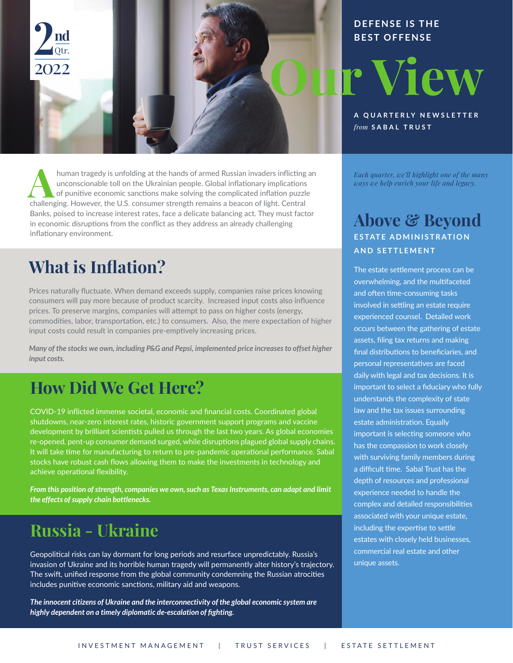

#### **DEFENSE IS THE BEST OFFENSE**

**A QUARTERLY NEWSLETTER** *from* **SABAL TRUST**

**Each quarter, we'll highlight one of the many**<br> **Each quarter, we'll highlight one of the many**<br> **A ways we help enrich your life and legacy**.<br> **A of punitive economic sanctions make solving the complicated inflation** human tragedy is unfolding at the hands of armed Russian invaders inflicting an unconscionable toll on the Ukrainian people. Global inflationary implications of punitive economic sanctions make solving the complicated inflation puzzle challenging. However, the U.S. consumer strength remains a beacon of light. Central Banks, poised to increase interest rates, face a delicate balancing act. They must factor in economic disruptions from the conflict as they address an already challenging inflationary environment.

## **What is Inflation?**

Prices naturally fluctuate. When demand exceeds supply, companies raise prices knowing consumers will pay more because of product scarcity. Increased input costs also influence prices. To preserve margins, companies will attempt to pass on higher costs (energy, commodities, labor, transportation, etc.) to consumers. Also, the mere expectation of higher input costs could result in companies pre-emptively increasing prices.

*Many of the stocks we own, including P&G and Pepsi, implemented price increases to offset higher input costs.* 

## **How Did We Get Here?**

COVID-19 inflicted immense societal, economic and financial costs. Coordinated global shutdowns, near-zero interest rates, historic government support programs and vaccine development by brilliant scientists pulled us through the last two years. As global economies re-opened, pent-up consumer demand surged, while disruptions plagued global supply chains. It will take time for manufacturing to return to pre-pandemic operational performance. Sabal stocks have robust cash flows allowing them to make the investments in technology and achieve operational flexibility.

*From this position of strength, companies we own, such as Texas Instruments, can adapt and limit the effects of supply chain bottlenecks.*

#### **Russia - Ukraine**

Geopolitical risks can lay dormant for long periods and resurface unpredictably. Russia's invasion of Ukraine and its horrible human tragedy will permanently alter history's trajectory. The swift, unified response from the global community condemning the Russian atrocities includes punitive economic sanctions, military aid and weapons.

*The innocent citizens of Ukraine and the interconnectivity of the global economic system are highly dependent on a timely diplomatic de-escalation of fighting.*

Each quarter, we'll highlight one of the many  $\mu$ uch quarter, we ways we neip enrich y

#### $\Lambda$  begins C<sub>2</sub> T **Above & Beyond ESTATE ADMINISTRATION 813.229.2180**  $AND$  SETTLEMENT

**352.751.2199**  overwhelming, and the multifaceted and often time-consuming tasks involved in settling an estate require The estate settlement process can be experienced counsel. Detailed work occurs between the gathering of estate assets, filing tax returns and making final distributions to beneficiaries, and personal representatives are faced daily with legal and tax decisions. It is important to select a fiduciary who fully understands the complexity of state law and the tax issues surrounding estate administration. Equally important is selecting someone who has the compassion to work closely with surviving family members during a difficult time. Sabal Trust has the depth of resources and professional experience needed to handle the complex and detailed responsibilities associated with your unique estate, including the expertise to settle estates with closely held businesses, commercial real estate and other unique assets.